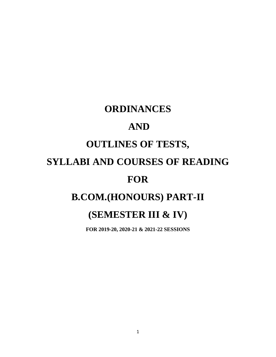# **ORDINANCES**

# **AND**

# **OUTLINES OF TESTS,**

# **SYLLABI AND COURSES OF READING**

# **FOR**

# **B.COM.(HONOURS) PART-II**

# **(SEMESTER III & IV)**

**FOR 2019-20, 2020-21 & 2021-22 SESSIONS**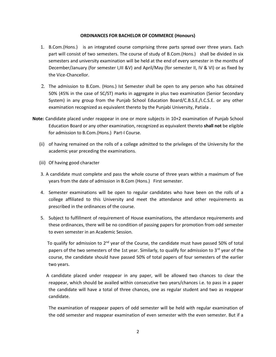#### **ORDINANCES FOR BACHELOR OF COMMERCE (Honours)**

- 1. B.Com.(Hons.) is an integrated course comprising three parts spread over three years. Each part will consist of two semesters. The course of study of B.Com.(Hons.) shall be divided in six semesters and university examination will be held at the end of every semester in the months of December/January (for semester I,III &V) and April/May (for semester II, IV & VI) or as fixed by the Vice-Chancellor.
- 2. The admission to B.Com. (Hons.) Ist Semester shall be open to any person who has obtained 50% (45% in the case of SC/ST) marks in aggregate in plus two examination (Senior Secondary System) in any group from the Punjab School Education Board/C.B.S.E./I.C.S.E. or any other examination recognized as equivalent thereto by the Punjabi University, Patiala .
- **Note:** Candidate placed under reappear in one or more subjects in 10+2 examination of Punjab School Education Board or any other examination, recognized as equivalent thereto **shall not** be eligible for admission to B.Com.(Hons.) Part-I Course.
	- (ii) of having remained on the rolls of a college admitted to the privileges of the University for the academic year preceding the examinations.
	- (iii) Of having good character
	- 3. A candidate must complete and pass the whole course of three years within a maximum of five years from the date of admission in B.Com (Hons.) First semester.
	- 4. Semester examinations will be open to regular candidates who have been on the rolls of a college affiliated to this University and meet the attendance and other requirements as prescribed in the ordinances of the course.
	- 5. Subject to fulfillment of requirement of House examinations, the attendance requirements and these ordinances, there will be no condition of passing papers for promotion from odd semester to even semester in an Academic Session.

To qualify for admission to  $2^{nd}$  year of the Course, the candidate must have passed 50% of total papers of the two semesters of the 1st year. Similarly, to qualify for admission to 3<sup>rd</sup> year of the course, the candidate should have passed 50% of total papers of four semesters of the earlier two years.

 A candidate placed under reappear in any paper, will be allowed two chances to clear the reappear, which should be availed within consecutive two years/chances i.e. to pass in a paper the candidate will have a total of three chances, one as regular student and two as reappear candidate.

The examination of reappear papers of odd semester will be held with regular examination of the odd semester and reappear examination of even semester with the even semester. But if a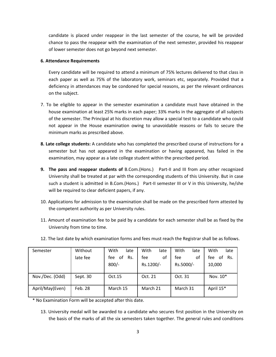candidate is placed under reappear in the last semester of the course, he will be provided chance to pass the reappear with the examination of the next semester, provided his reappear of lower semester does not go beyond next semester.

## **6. Attendance Requirements**

Every candidate will be required to attend a minimum of 75% lectures delivered to that class in each paper as well as 75% of the laboratory work, seminars etc, separately. Provided that a deficiency in attendances may be condoned for special reasons, as per the relevant ordinances on the subject.

- 7. To be eligible to appear in the semester examination a candidate must have obtained in the house examination at least 25% marks in each paper; 33% marks in the aggregate of all subjects of the semester. The Principal at his discretion may allow a special test to a candidate who could not appear in the House examination owing to unavoidable reasons or fails to secure the minimum marks as prescribed above.
- **8. Late college students:** A candidate who has completed the prescribed course of instructions for a semester but has not appeared in the examination or having appeared, has failed in the examination, may appear as a late college student within the prescribed period.
- **9. The pass and reappear students of** B.Com.(Hons.) Part-II and III from any other recognized University shall be treated at par with the corresponding students of this University. But in case such a student is admitted in B.Com.(Hons.) Part-II semester III or V in this University, he/she will be required to clear deficient papers, if any.
- 10. Applications for admission to the examination shall be made on the prescribed form attested by the competent authority as per University rules.
- 11. Amount of examination fee to be paid by a candidate for each semester shall be as fixed by the University from time to time.

| Semester        | Without  | With<br>late     | With<br>late | With<br>late | With<br>late     |
|-----------------|----------|------------------|--------------|--------------|------------------|
|                 | late fee | οf<br>Rs.<br>fee | fee<br>οf    | fee<br>οf    | fee<br>Rs.<br>оf |
|                 |          | $800/-$          | Rs.1200/-    | Rs.5000/-    | 10,000           |
| Nov./Dec. (Odd) | Sept. 30 | Oct.15           | Oct. 21      | Oct. 31      | Nov. 10*         |
| April/May(Even) | Feb. 28  | March 15         | March 21     | March 31     | April 15*        |

12. The last date by which examination forms and fees must reach the Registrar shall be as follows.

\* No Examination Form will be accepted after this date.

13. University medal will be awarded to a candidate who secures first position in the University on the basis of the marks of all the six semesters taken together. The general rules and conditions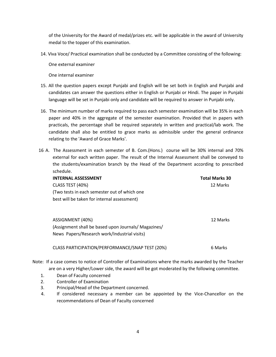of the University for the Award of medal/prizes etc. will be applicable in the award of University medal to the topper of this examination.

14. Viva Voce/ Practical examination shall be conducted by a Committee consisting of the following:

One external examiner

One internal examiner

- 15. All the question papers except Punjabi and English will be set both in English and Punjabi and candidates can answer the questions either in English or Punjabi or Hindi. The paper in Punjabi language will be set in Punjabi only and candidate will be required to answer in Punjabi only.
- 16. The minimum number of marks required to pass each semester examination will be 35% in each paper and 40% in the aggregate of the semester examination. Provided that in papers with practicals, the percentage shall be required separately in written and practical/lab work. The candidate shall also be entitled to grace marks as admissible under the general ordinance relating to the 'Award of Grace Marks'.
- 16 A. The Assessment in each semester of B. Com.(Hons.) course will be 30% internal and 70% external for each written paper. The result of the Internal Assessment shall be conveyed to the students/examination branch by the Head of the Department according to prescribed schedule.

| <b>INTERNAL ASSESSMENT</b>                   | <b>Total Marks 30</b> |
|----------------------------------------------|-----------------------|
| CLASS TEST (40%)                             | 12 Marks              |
| (Two tests in each semester out of which one |                       |
| best will be taken for internal assessment)  |                       |
|                                              |                       |
|                                              |                       |

| ASSIGNMENT (40%)                                     | 12 Marks |
|------------------------------------------------------|----------|
| (Assignment shall be based upon Journals/ Magazines/ |          |
| News Papers/Research work/Industrial visits)         |          |

CLASS PARTICIPATION/PERFORMANCE/SNAP TEST (20%) 6 Marks

Note: If a case comes to notice of Controller of Examinations where the marks awarded by the Teacher are on a very Higher/Lower side, the award will be got moderated by the following committee.

- 1. Dean of Faculty concerned
- 2. Controller of Examination
- 3. Principal/Head of the Department concerned.
- 4. If considered necessary a member can be appointed by the Vice-Chancellor on the recommendations of Dean of Faculty concerned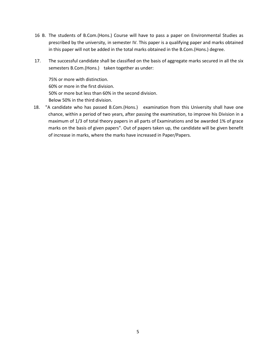- 16 B. The students of B.Com.(Hons.) Course will have to pass a paper on Environmental Studies as prescribed by the university, in semester IV. This paper is a qualifying paper and marks obtained in this paper will not be added in the total marks obtained in the B.Com.(Hons.) degree.
- 17. The successful candidate shall be classified on the basis of aggregate marks secured in all the six semesters B.Com.(Hons.) taken together as under:

75% or more with distinction. 60% or more in the first division. 50% or more but less than 60% in the second division. Below 50% in the third division.

18. "A candidate who has passed B.Com.(Hons.) examination from this University shall have one chance, within a period of two years, after passing the examination, to improve his Division in a maximum of 1/3 of total theory papers in all parts of Examinations and be awarded 1% of grace marks on the basis of given papers". Out of papers taken up, the candidate will be given benefit of increase in marks, where the marks have increased in Paper/Papers.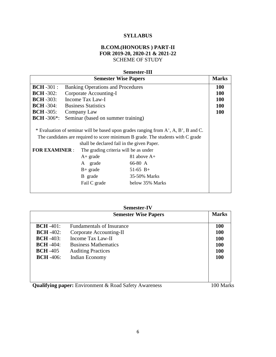# **SYLLABUS**

# **B.COM.(HONOURS ) PART-II FOR 2019-20, 2020-21 & 2021-22** SCHEME OF STUDY

# **Semester-III**

| <b>Semester Wise Papers</b>                                          |                                                                                                                                                                                                                                                                                                                                                                                                                              |  |  |
|----------------------------------------------------------------------|------------------------------------------------------------------------------------------------------------------------------------------------------------------------------------------------------------------------------------------------------------------------------------------------------------------------------------------------------------------------------------------------------------------------------|--|--|
| $BCH - 301$ :                                                        | <b>Banking Operations and Procedures</b>                                                                                                                                                                                                                                                                                                                                                                                     |  |  |
| $BCH - 302$ :                                                        | Corporate Accounting-I                                                                                                                                                                                                                                                                                                                                                                                                       |  |  |
| $BCH - 303$ :                                                        | Income Tax Law-I                                                                                                                                                                                                                                                                                                                                                                                                             |  |  |
| $BCH - 304$ :                                                        | <b>Business Statistics</b>                                                                                                                                                                                                                                                                                                                                                                                                   |  |  |
| $BCH - 305$ :                                                        | Company Law                                                                                                                                                                                                                                                                                                                                                                                                                  |  |  |
| <b>BCH</b> -306 <sup>*</sup> :<br>Seminar (based on summer training) |                                                                                                                                                                                                                                                                                                                                                                                                                              |  |  |
| <b>FOR EXAMINER:</b>                                                 | * Evaluation of seminar will be based upon grades ranging from $A^+$ , A, B <sup>+</sup> , B and C.<br>The candidates are required to score minimum B grade. The students with C grade<br>shall be declared fail in the given Paper.<br>The grading criteria will be as under<br>81 above $A+$<br>$A+$ grade<br>66-80 A<br>A grade<br>$B+$ grade<br>$51-65$ B+<br>B grade<br>35-50% Marks<br>Fail C grade<br>below 35% Marks |  |  |

|                                                                                               | <b>Semester Wise Papers</b>                                                                                                                                           | <b>Marks</b>                                                              |
|-----------------------------------------------------------------------------------------------|-----------------------------------------------------------------------------------------------------------------------------------------------------------------------|---------------------------------------------------------------------------|
| $BCH -401$ :<br>$BCH - 402$ :<br>$BCH - 403$ :<br>$BCH -404$ :<br>$BCH -405$<br>$BCH - 406$ : | <b>Fundamentals of Insurance</b><br>Corporate Accounting-II<br><b>Income Tax Law-II</b><br><b>Business Mathematics</b><br><b>Auditing Practices</b><br>Indian Economy | <b>100</b><br><b>100</b><br><b>100</b><br><b>100</b><br>100<br><b>100</b> |
|                                                                                               | Qualifying nanom Environment & Dood Cafety Awareness                                                                                                                  | $100$ Mork                                                                |

**Qualifying paper:** Environment & Road Safety Awareness 100 Marks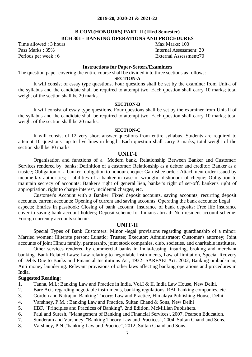# **B.COM.(HONOURS) PART-II (IIIrd Semester) BCH 301 - BANKING OPERATIONS AND PROCEDURES**

Time allowed : 3 hours Max Marks: 100

Pass Marks : 35% Internal Assessment: 30 Periods per week: 6 External Assessment: 70

### **Instructions for Paper-Setters/Examiners**

The question paper covering the entire course shall be divided into three sections as follows:

# **SECTION-A**

It will consist of essay type questions. Four questions shall be set by the examiner from Unit-I of the syllabus and the candidate shall be required to attempt two. Each question shall carry 10 marks; total weight of the section shall be 20 marks.

# **SECTION-B**

It will consist of essay type questions. Four questions shall be set by the examiner from Unit-II of the syllabus and the candidate shall be required to attempt two. Each question shall carry 10 marks; total weight of the section shall be 20 marks.

### **SECTION-C**

It will consist of 12 very short answer questions from entire syllabus. Students are required to attempt 10 questions up to five lines in length. Each question shall carry 3 marks; total weight of the section shall be 30 marks

# **UNIT-I**

Organisation and functions of a Modern bank, Relationship Between Banker and Customer: Services rendered by banks; Definition of a customer: Relationship as a debtor and creditor; Banker as a trustee; Obligation of a banker -obligation to honour cheque: Garnishee order: Attachment order issued by income-tax authorities; Liabilities of a banker in case of wrongful dishonour of cheque; Obligation to maintain secrecy of accounts: Banker's right of general lien, banker's right of set-off, banker's right of appropriation, right to charge interest, incidental charges, etc.

Customer's Account with a Banker: Fixed deposit accounts, saving accounts, recurring deposit accounts, current accounts: Opening of current and saving accounts: Operating the bank accounts; Legal aspects; Entries in passbook: Closing of bank account; Insurance of bank deposits: Free life insurance cover to saving bank account-holders; Deposit scheme for Indians abroad: Non-resident account scheme; Foreign currency accounts scheme.

# **UNIT-II**

Special Types of Bank Customers: Minor -legal provisions regarding guardianship of a minor: Married women: Illiterate person; Lunatic; Trustee; Executor; Administrator; Customer's attorney; Joint accounts of joint Hindu family, partnership, joint stock companies, club, societies, and charitable institutes.

Other services rendered by commercial banks in India-leasing, insuring, broking and merchant banking. Bank Related Laws: Law relating to negotiable instruments, Law of limitation, Special Rcovery of Debts Due to Banks and Financial Institutions Act, 1932- SARFAEI Act. 2002, Banking ombudsman, Anti money laundering. Relevant provisions of other laws affecting banking operations and procedures in India.

# **Suggested Reading:**

- 1. Tanna, M.L: Banking Law and Practice in India, Vol.I & II, India Law House, New Delhi.
- 2. Bare Acts regarding negotiable instruments, banking regulations, RBf, banking companies, etc.
- 3. Gordon and Natrajan: Banking Theory: Law and Practice, Himalaya Publishing House, Delhi.
- 4. Varshney, P.M. : Banking Law and Practice, Sultan Chand & Sons, New Delhi
- 5. IIBF, "Principles and Practices of Banking", 2nd Edition, McMillian Publishers.
- 6. Paul and Suresh, "Management of Banking and Financial Services:, 2007, Pearson Education.
- 7. Sunderam and Varshney, "Banking Theory Law and Practices", 2004, Sultan Chand and Sons.
- 8. Varshney, P.N.,"banking Law and Practice", 2012, Sultan Chand and Sons.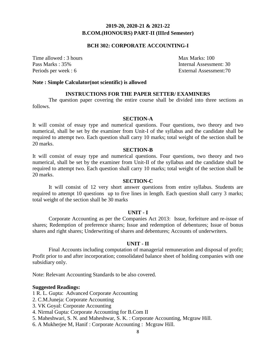# **BCH 302: CORPORATE ACCOUNTING-I**

Time allowed : 3 hours Max Marks: 100

Pass Marks : 35% Internal Assessment: 30 Periods per week : 6 External Assessment: 70

#### **Note : Simple Calculator(not scientific) is allowed**

#### **INSTRUCTIONS FOR THE PAPER SETTER/ EXAMINERS**

The question paper covering the entire course shall be divided into three sections as follows.

### **SECTION-A**

It will consist of essay type and numerical questions. Four questions, two theory and two numerical, shall be set by the examiner from Unit-I of the syllabus and the candidate shall be required to attempt two. Each question shall carry 10 marks; total weight of the section shall be 20 marks.

#### **SECTION-B**

It will consist of essay type and numerical questions. Four questions, two theory and two numerical, shall be set by the examiner from Unit-II of the syllabus and the candidate shall be required to attempt two. Each question shall carry 10 marks; total weight of the section shall be 20 marks.

## **SECTION-C**

It will consist of 12 very short answer questions from entire syllabus. Students are required to attempt 10 questions up to five lines in length. Each question shall carry 3 marks; total weight of the section shall be 30 marks

#### **UNIT - I**

Corporate Accounting as per the Companies Act 2013: Issue, forfeiture and re-issue of shares; Redemption of preference shares; Issue and redemption of debentures; Issue of bonus shares and right shares; Underwriting of shares and debentures; Accounts of underwriters.

# **UNIT - II**

Final Accounts including computation of managerial remuneration and disposal of profit; Profit prior to and after incorporation; consolidated balance sheet of holding companies with one subsidiary only.

Note: Relevant Accounting Standards to be also covered.

#### **Suggested Readings:**

1 R. L. Gupta: Advanced Corporate Accounting

- 2. C.M.Juneja: Corporate Accounting
- 3. VK Goyal: Corporate Accounting
- 4. Nirmal Gupta: Corporate Accounting for B.Com II
- 5. Maheshwari, S. N. and Maheshwar, S. K. : Corporate Accounting, Mcgraw Hill.
- 6. A Mukherjee M, Hanif : Corporate Accounting : Mcgraw Hill.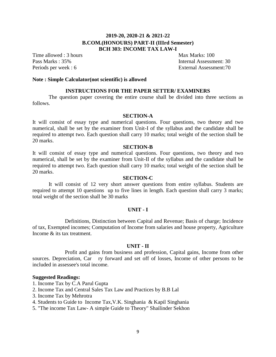# **2019-20, 2020-21 & 2021-22 B.COM.(HONOURS) PART-II (IIIrd Semester) BCH 303: INCOME TAX LAW-I**

Time allowed : 3 hours Max Marks: 100

Pass Marks : 35% Internal Assessment: 30 Periods per week : 6 External Assessment: 70

# **Note : Simple Calculator(not scientific) is allowed**

#### **INSTRUCTIONS FOR THE PAPER SETTER/ EXAMINERS**

The question paper covering the entire course shall be divided into three sections as follows.

#### **SECTION-A**

It will consist of essay type and numerical questions. Four questions, two theory and two numerical, shall be set by the examiner from Unit-I of the syllabus and the candidate shall be required to attempt two. Each question shall carry 10 marks; total weight of the section shall be 20 marks.

#### **SECTION-B**

It will consist of essay type and numerical questions. Four questions, two theory and two numerical, shall be set by the examiner from Unit-II of the syllabus and the candidate shall be required to attempt two. Each question shall carry 10 marks; total weight of the section shall be 20 marks.

#### **SECTION-C**

It will consist of 12 very short answer questions from entire syllabus. Students are required to attempt 10 questions up to five lines in length. Each question shall carry 3 marks; total weight of the section shall be 30 marks

### **UNIT - I**

Definitions, Distinction between Capital and Revenue; Basis of charge; Incidence of tax, Exempted incomes; Computation of Income from salaries and house property, Agriculture Income & its tax treatment.

#### **UNIT - II**

Profit and gains from business and profession, Capital gains, Income from other sources. Depreciation, Car ry forward and set off of losses, Income of other persons to be included in assessee's total income.

#### **Suggested Readings:**

- 1. Income Tax by C.A Parul Gupta
- 2. Income Tax and Central Sales Tax Law and Practices by B.B Lal
- 3. Income Tax by Mehrotra
- 4. Students to Guide to Income Tax,V.K. Singhania & Kapil Singhania
- 5. "The income Tax Law- A simple Guide to Theory" Shailinder Sekhon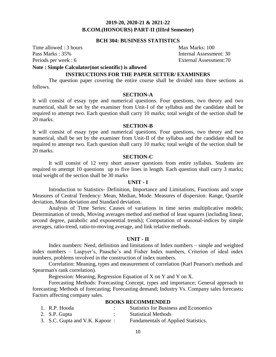## **BCH 304: BUSINESS STATISTICS**

Time allowed : 3 hours Max Marks: 100

Pass Marks : 35% Internal Assessment: 30 Periods per week : 6 External Assessment: 70

# **Note : Simple Calculator(not scientific) is allowed**

# **INSTRUCTIONS FOR THE PAPER SETTER/ EXAMINERS**

The question paper covering the entire course shall be divided into three sections as follows.

# **SECTION-A**

It will consist of essay type and numerical questions. Four questions, two theory and two numerical, shall be set by the examiner from Unit-I of the syllabus and the candidate shall be required to attempt two. Each question shall carry 10 marks; total weight of the section shall be 20 marks.

#### **SECTION-B**

It will consist of essay type and numerical questions. Four questions, two theory and two numerical, shall be set by the examiner from Unit-II of the syllabus and the candidate shall be required to attempt two. Each question shall carry 10 marks; total weight of the section shall be 20 marks.

# **SECTION-C**

It will consist of 12 very short answer questions from entire syllabus. Students are required to attempt 10 questions up to five lines in length. Each question shall carry 3 marks; total weight of the section shall be 30 marks

#### **UNIT - I**

Introduction to Statistics- Definition, Importance and Limitations, Functions and scope Measures of Central Tendency: Mean, Median, Mode. Measures of dispersion: Range, Quartile deviation, Mean deviation and Standard deviation.

Analysis of Time Series: Causes of variations in time series multiplicative models; Determination of trends, Moving averages method and method of least squares (including linear, second degree, parabolic and exponential trends); Computation of seasonal-indices by simple averages, ratio-trend, ratio-to-moving average, and link relative methods.

#### **UNIT - II**

Index numbers: Need, definition and limitations of Index numbers – simple and weighted index numbers – Laspyer's, Paasche's and Fisher Index numbers, Criterion of ideal index numbers, problems involved in the construction of index numbers.

Correlation: Meaning, types and measurement of correlation (Karl Pearson's methods and Spearman's rank correlation).

Regression: Meaning, Regression Equation of X on Y and Y on X.

Forecasting Methods: Forecasting Concept, types and importance; General approach to forecasting; Methods of forecasting; Forecasting demand; Industry Vs. Company sales forecasts; Factors affecting company sales.

#### **BOOKS RECOMMENDED**

| 1. R.P. Hooda                  | <b>Statistics for Business and Economics</b> |
|--------------------------------|----------------------------------------------|
| 2. S.P. Gupta                  | <b>Statistical Methods</b>                   |
| 3. S.C. Gupta and V.K. Kapoor: | Fundamentals of Applied Statistics.          |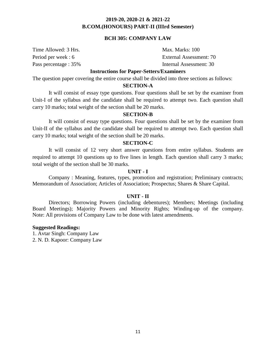# **BCH 305: COMPANY LAW**

Time Allowed: 3 Hrs. Max. Marks: 100

Period per week : 6 External Assessment: 70 Pass percentage : 35%

## **Instructions for Paper-Setters/Examiners**

The question paper covering the entire course shall be divided into three sections as follows:

### **SECTION-A**

It will consist of essay type questions. Four questions shall be set by the examiner from Unit-I of the syllabus and the candidate shall be required to attempt two. Each question shall carry 10 marks; total weight of the section shall be 20 marks.

# **SECTION-B**

It will consist of essay type questions. Four questions shall be set by the examiner from Unit-II of the syllabus and the candidate shall be required to attempt two. Each question shall carry 10 marks; total weight of the section shall be 20 marks.

#### **SECTION-C**

It will consist of 12 very short answer questions from entire syllabus. Students are required to attempt 10 questions up to five lines in length. Each question shall carry 3 marks; total weight of the section shall be 30 marks.

# **UNIT - I**

Company : Meaning, features, types, promotion and registration; Preliminary contracts; Memorandum of Association; Articles of Association; Prospectus; Shares & Share Capital.

## **UNIT - II**

Directors; Borrowing Powers (including debentures); Members; Meetings (including Board Meetings); Majority Powers and Minority Rights; Winding-up of the company. Note: All provisions of Company Law to be done with latest amendments.

#### **Suggested Readings:**

1. Avtar Singh: Company Law 2. N. D. Kapoor: Company Law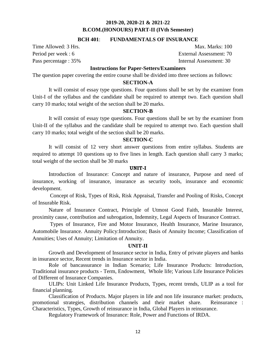# **BCH 401**: **FUNDAMENTALS OF INSURANCE**

Time Allowed: 3 Hrs. Max. Marks: 100

Period per week : 6 External Assessment: 70 Pass percentage : 35% Internal Assessment: 30

# **Instructions for Paper-Setters/Examiners**

The question paper covering the entire course shall be divided into three sections as follows:

# **SECTION-A**

It will consist of essay type questions. Four questions shall be set by the examiner from Unit-I of the syllabus and the candidate shall be required to attempt two. Each question shall carry 10 marks; total weight of the section shall be 20 marks.

## **SECTION-B**

It will consist of essay type questions. Four questions shall be set by the examiner from Unit-II of the syllabus and the candidate shall be required to attempt two. Each question shall carry 10 marks; total weight of the section shall be 20 marks.

#### **SECTION-C**

It will consist of 12 very short answer questions from entire syllabus. Students are required to attempt 10 questions up to five lines in length. Each question shall carry 3 marks; total weight of the section shall be 30 marks

#### **UNIT-I**

Introduction of Insurance: Concept and nature of insurance, Purpose and need of insurance, working of insurance, insurance as security tools, insurance and economic development.

Concept of Risk, Types of Risk, Risk Appraisal, Transfer and Pooling of Risks, Concept of Insurable Risk.

Nature of Insurance Contract, Principle of Utmost Good Faith, Insurable Interest, proximity cause, contribution and subrogation, Indemnity, Legal Aspects of Insurance Contract.

Types of Insurance, Fire and Motor Insurance, Health Insurance, Marine Insurance, Automobile Insurance. Annuity Policy:Introduction; Basis of Annuity Income; Classification of Annuities; Uses of Annuity; Limitation of Annuity.

### **UNIT-II**

Growth and Development of Insurance sector in India, Entry of private players and banks in insurance sector, Recent trends in Insurance sector in India.

Role of bancassurance in Indian Scenario; Life Insurance Products: Introduction, Traditional insurance products - Term, Endowment, Whole life; Various Life Insurance Policies of Different of Insurance Companies.

ULIPs: Unit Linked Life Insurance Products, Types, recent trends, ULIP as a tool for financial planning.

Classification of Products. Major players in life and non life insurance market: products, promotional strategies, distribution channels and their market share. Reinsurance : Characteristics, Types, Growth of reinsurance in India, Global Players in reinsurance.

Regulatory Framework of Insurance: Role, Power and Functions of IRDA.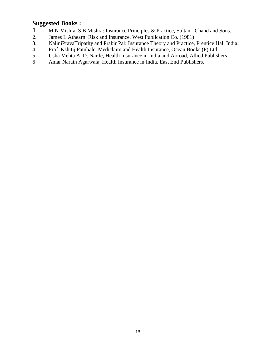# **Suggested Books :**

- 1. M N Mishra, S B Mishra: Insurance Principles & Practice, Sultan Chand and Sons.
- 2. James L Athearn: Risk and Insurance, West Publication Co. (1981)
- 3. NaliniPravaTripathy and Prabir Pal: Insurance Theory and Practice, Prentice Hall India.
- 4. Prof. Kshitij Patubale, Mediclaim and Health Insurance, Ocean Books (P) Ltd.
- 5. Usha Mehta A. D. Narde, Health Insurance in India and Abroad, Allied Publishers
- 6 Amar Narain Agarwala, Health Insurance in India, East End Publishers.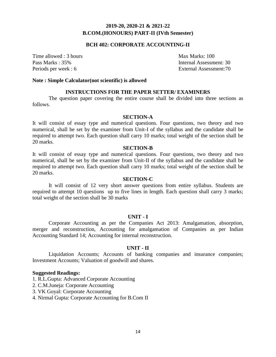# **BCH 402: CORPORATE ACCOUNTING-II**

Time allowed : 3 hours Max Marks: 100

Pass Marks : 35% Internal Assessment: 30 Periods per week : 6 External Assessment: 70

#### **Note : Simple Calculator(not scientific) is allowed**

# **INSTRUCTIONS FOR THE PAPER SETTER/ EXAMINERS**

The question paper covering the entire course shall be divided into three sections as follows.

#### **SECTION-A**

It will consist of essay type and numerical questions. Four questions, two theory and two numerical, shall be set by the examiner from Unit-I of the syllabus and the candidate shall be required to attempt two. Each question shall carry 10 marks; total weight of the section shall be 20 marks.

#### **SECTION-B**

It will consist of essay type and numerical questions. Four questions, two theory and two numerical, shall be set by the examiner from Unit-II of the syllabus and the candidate shall be required to attempt two. Each question shall carry 10 marks; total weight of the section shall be 20 marks.

#### **SECTION-C**

It will consist of 12 very short answer questions from entire syllabus. Students are required to attempt 10 questions up to five lines in length. Each question shall carry 3 marks; total weight of the section shall be 30 marks

#### **UNIT - I**

Corporate Accounting as per the Companies Act 2013: Amalgamation, absorption, merger and reconstruction, Accounting for amalgamation of Companies as per Indian Accounting Standard 14; Accounting for internal reconstruction.

## **UNIT - II**

Liquidation Accounts; Accounts of banking companies and insurance companies; Investment Accounts; Valuation of goodwill and shares.

#### **Suggested Readings:**

1. R.L.Gupta: Advanced Corporate Accounting

2. C.M.Juneja: Corporate Accounting

3. VK Goyal: Corporate Accounting

4. Nirmal Gupta: Corporate Accounting for B.Com II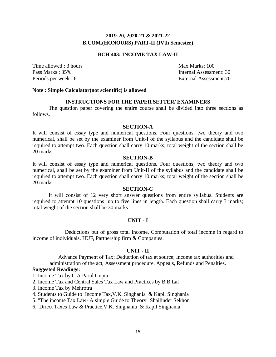# **BCH 403: INCOME TAX LAW-II**

Time allowed : 3 hours Max Marks: 100

Pass Marks : 35% Internal Assessment: 30 Periods per week : 6 External Assessment: 70

#### **Note : Simple Calculator(not scientific) is allowed**

## **INSTRUCTIONS FOR THE PAPER SETTER/ EXAMINERS**

The question paper covering the entire course shall be divided into three sections as follows.

# **SECTION-A**

It will consist of essay type and numerical questions. Four questions, two theory and two numerical, shall be set by the examiner from Unit-I of the syllabus and the candidate shall be required to attempt two. Each question shall carry 10 marks; total weight of the section shall be 20 marks.

#### **SECTION-B**

It will consist of essay type and numerical questions. Four questions, two theory and two numerical, shall be set by the examiner from Unit-II of the syllabus and the candidate shall be required to attempt two. Each question shall carry 10 marks; total weight of the section shall be 20 marks.

# **SECTION-C**

It will consist of 12 very short answer questions from entire syllabus. Students are required to attempt 10 questions up to five lines in length. Each question shall carry 3 marks; total weight of the section shall be 30 marks

### **UNIT - I**

Deductions out of gross total income, Computation of total income in regard to income of individuals. HUF, Partnership firm & Companies.

# **UNIT - II**

Advance Payment of Tax; Deduction of tax at source; Income tax authorities and administration of the act, Assessment procedure, Appeals, Refunds and Penalties.

### **Suggested Readings:**

1. Income Tax by C.A Parul Gupta

- 2. Income Tax and Central Sales Tax Law and Practices by B.B Lal
- 3. Income Tax by Mehrotra
- 4. Students to Guide to Income Tax,V.K. Singhania & Kapil Singhania
- 5. "The income Tax Law- A simple Guide to Theory" Shailinder Sekhon
- 6. Direct Taxes Law & Practice,V.K. Singhania & Kapil Singhania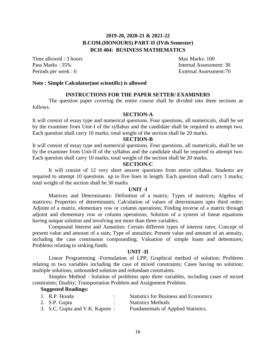# **2019-20, 2020-21 & 2021-22 B.COM.(HONOURS) PART-II (IVth Semester) BCH 404: BUSINESS MATHEMATICS**

Time allowed : 3 hours Max Marks: 100

Pass Marks : 35% Internal Assessment: 30 Periods per week : 6 External Assessment: 70

### **Note : Simple Calculator(not scientific) is allowed**

## **INSTRUCTIONS FOR THE PAPER SETTER/ EXAMINERS**

The question paper covering the entire course shall be divided into three sections as follows.

**SECTION-A**

It will consist of essay type and numerical questions. Four questions, all numericals, shall be set by the examiner from Unit-I of the syllabus and the candidate shall be required to attempt two. Each question shall carry 10 marks; total weight of the section shall be 20 marks.

#### **SECTION-B**

It will consist of essay type and numerical questions. Four questions, all numericals, shall be set by the examiner from Unit-II of the syllabus and the candidate shall be required to attempt two. Each question shall carry 10 marks; total weight of the section shall be 20 marks.

# **SECTION-C**

It will consist of 12 very short answer questions from entire syllabus. Students are required to attempt 10 questions up to five lines in length. Each question shall carry 3 marks; total weight of the section shall be 30 marks

#### **UNIT -I**

Matrices and Determinants: Definition of a matrix; Types of matrices; Algebra of matrices; Properties of determinants; Calculation of values of determinants upto third order; Adjoint of a matrix, elementary row or column operations; Finding inverse of a matrix through adjoint and elementary row or column operations; Solution of a system of linear equations having unique solution and involving not more than three variables.

Compound Interest and Annuities: Certain different types of interest rates; Concept of present value and amount of a sum; Type of annuities; Present value and amount of an annuity, including the case continuous compounding; Valuation of simple loans and debentures; Problems relating to sinking funds.

#### **UNIT -II**

Linear Programming -Formulation of LPP; Graphical method of solution; Problems relating to two variables including the case of mixed constraints; Cases having no solution; multiple solutions, unbounded solution and redundant constraints.

Simplex Method - Solution of problems upto three variables, including cases of mixed constraints; Duality; Transportation Problem and Assignment Problem.

# **Suggested Readings:**

| 1. R.P. Hooda                  | <b>Statistics for Business and Economics</b> |
|--------------------------------|----------------------------------------------|
| 2. S.P. Gupta                  | <b>Statistics Methods</b>                    |
| 3. S.C. Gupta and V.K. Kapoor: | Fundamentals of Applied Statistics.          |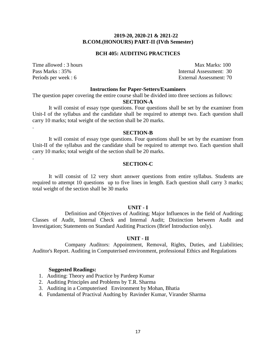#### **BCH 405: AUDITING PRACTICES**

Time allowed : 3 hours Max Marks: 100

.

.

Pass Marks : 35% Internal Assessment: 30 Periods per week : 6 External Assessment: 70

#### **Instructions for Paper-Setters/Examiners**

The question paper covering the entire course shall be divided into three sections as follows:

#### **SECTION-A**

It will consist of essay type questions. Four questions shall be set by the examiner from Unit-I of the syllabus and the candidate shall be required to attempt two. Each question shall carry 10 marks; total weight of the section shall be 20 marks.

#### **SECTION-B**

It will consist of essay type questions. Four questions shall be set by the examiner from Unit-II of the syllabus and the candidate shall be required to attempt two. Each question shall carry 10 marks; total weight of the section shall be 20 marks.

## **SECTION-C**

It will consist of 12 very short answer questions from entire syllabus. Students are required to attempt 10 questions up to five lines in length. Each question shall carry 3 marks; total weight of the section shall be 30 marks

#### **UNIT - I**

Definition and Objectives of Auditing; Major Influences in the field of Auditing; Classes of Audit, Internal Check and Internal Audit; Distinction between Audit and Investigation; Statements on Standard Auditing Practices (Brief Introduction only).

#### **UNIT - II**

Company Auditors: Appointment, Removal, Rights, Duties, and Liabilities; Auditor's Report. Auditing in Computerised environment, professional Ethics and Regulations

#### **Suggested Readings:**

- 1. Auditing: Theory and Practice by Pardeep Kumar
- 2. Auditing Principles and Problems by T.R. Sharma
- 3. Auditing in a Computerised Environment by Mohan, Bhatia
- 4. Fundamental of Practival Audting by Ravinder Kumar, Virander Sharma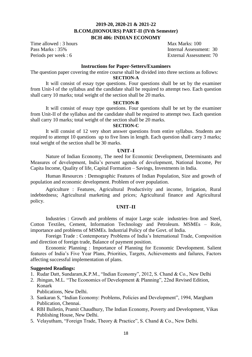# **2019-20, 2020-21 & 2021-22 B.COM.(HONOURS) PART-II (IVth Semester) BCH 406: INDIAN ECONOMY**

Time allowed : 3 hours Max Marks: 100

Pass Marks : 35% Internal Assessment: 30 Periods per week : 6 External Assessment: 70

#### **Instructions for Paper-Setters/Examiners**

The question paper covering the entire course shall be divided into three sections as follows:

# **SECTION-A**

It will consist of essay type questions. Four questions shall be set by the examiner from Unit-I of the syllabus and the candidate shall be required to attempt two. Each question shall carry 10 marks; total weight of the section shall be 20 marks.

#### **SECTION-B**

It will consist of essay type questions. Four questions shall be set by the examiner from Unit-II of the syllabus and the candidate shall be required to attempt two. Each question shall carry 10 marks; total weight of the section shall be 20 marks.

### **SECTION-C**

It will consist of 12 very short answer questions from entire syllabus. Students are required to attempt 10 questions up to five lines in length. Each question shall carry 3 marks; total weight of the section shall be 30 marks.

# **UNIT–I**

Nature of Indian Economy, The need for Economic Development, Determinants and Measures of development, India's persent agenda of development, National Income, Per Capita Income, Quality of life, Capital Formation – Savings, Investments in India.

Human Resources : Demographic Features of Indian Population, Size and growth of population and economic development. Problem of over population.

Agriculture : Features, Agricultural Productivity and income, Irrigation, Rural indebtedness; Agricultural marketing and prices; Agricultural finance and Agricultural policy.

# **UNIT–II**

Industries : Growth and problems of major Large scale industries–Iron and Steel, Cotton Textiles, Cement, Information Technology and Petroleum. MSMEs – Role, importance and problems of MSMEs. Industrial Policy of the Govt. of India.

Foreign Trade : Contemporary Problems of India's International Trade, Composition and direction of foreign trade, Balance of payment position.

Economic Planning : Importance of Planning for Economic Development. Salient features of India's Five Year Plans, Priorities, Targets, Achievements and failures, Factors affecting successful implementation of plans.

### **Suggested Readings:**

- 1. Rudar Datt, Sundaram,K.P.M., "Indian Economy", 2012, S. Chand & Co., New Delhi
- 2. Jhingan, M.L. "The Economics of Development & Planning", 22nd Revised Edition, Konark

Publications, New Delhi.

- 3. Sankaran S, "Indian Economy: Problems, Policies and Development", 1994, Margham Publication, Chennai.
- 4. RBI Bulletin, Pramit Chaudhury, The Indian Economy, Poverty and Development, Vikas Publishing House, New Delhi.
- 5. Velayutham, "Foreign Trade, Theory & Practice", S. Chand & Co., New Delhi.